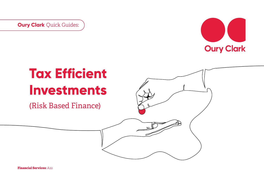**Oury Clark** Quick Guides:



# **Tax Efficient Investments**

(Risk Based Finance)

**Financial Services:** A22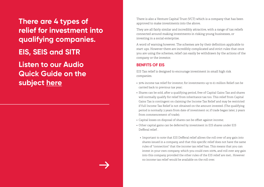**There are 4 types of relief for investment into qualifying companies. EIS, SEIS and SITR Listen to our Audio Quick Guide on the subject [here](https://www.ouryclark.com/resource-library/audio-quick-guides/enterprise-investment-schemes.html)**

There is also a Venture Capital Trust (VCT) which is a company that has been approved to make investments into the above.

They are all fairly similar and incredibly attractive, with a range of tax reliefs connected around making investments in risking young businesses, or investing in a social enterprise.

A word of warning however. The schemes are by their definition applicable to start ups. However there are incredibly complicated and strict rules that once you are using the schemes, relief can easily be withdrawn by the actions of the company or the investor.

### **BENFITS OF EIS**

EIS Tax relief is designed to encourage investment in small high risk companies.

- 30% income tax relief for investor, for investments up to £1 million Relief can be carried back to previous tax year;
- Shares can be sold, after a qualifying period, free of Capital Gains Tax and shares will normally qualify for relief from inheritance tax too. This relief from Capital Gains Tax is contingent on claiming the Income Tax Relief and may be restricted if full Income Tax Relief is not obtained on the amount invested. (The qualifying period is normally 3 years from date of investment or, if trade began later, 3 years from commencement of trade);
- Capital losses on disposal of shares can be offset against income;
- Other capital gains can be deferred by investment in EIS shares under EIS Defferal relief .
	- Important to note that EIS Defferal relief allows the roll over of any gain into shares issued in a company, and that this specific relief does not have the same rules of "connection" that the income tax relief has. This means that you can invest in your own company, which you could own 100%, and roll over any gain into this company provided the other rules of the EIS relief are met.. However no income tax relief would be available on the roll over.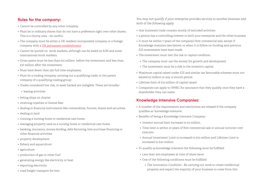#### **Rules for the company:**

- Cannot be controlled by any other company;
- Must be in ordinary shares that do not have a preference right over other shares. This is a thorny area – be careful.
- The company must be either a UK resident incorporated company or a foreign company with a [UK permanent establishment.](https://www.ouryclark.com/site-assets/pdf/quick-guides/tax/OC-Quick-Guide-Permanent-Establishment.pdf)
- Cannot be quoted on stock markets, although can be listed on AIM and some international stock markets;
- Gross assets must be less than £15 million before the investment and less than £16 million after the investment;
- Must have fewer than 250 full time employees;
- Must be a trading company, carrying out a qualifying trade, or the parent company of a qualifying trading group;
- Trades considered low risk, or asset backed are ineligible. These are broadly:-
	- leasing activities
- letting ships on charter
- receiving royalties or license fees
- dealing in financial instruments like commodities, futures, shares and securities
- dealing in land
- running a nursing home or residential care home
- managing property used as a nursing home or residential care home
- banking, insurance, money-lending, debt-factoring, hire-purchase financing or other financial activities
- property development
- fishery and aquaculture
- agriculture
- production of gas or other fuel
- generating energy like electricity or heat
- exporting electricity
- road freight transport for hire

*You may not qualify if your enterprise provides services to another business and both of the following apply:*

- that business's trade consists mostly of excluded activities
- a person has a controlling interest in both your enterprise and the other business
- It must be within 7 years of the company's first commercial sale, except if Knowledge intensive (see below), or when it is follow on funding and previous EIS investments have been made.
- The investment must met the risk to capital condition:
	- The company must use the money for growth and development
	- The investment must be a risk to the investor's capital.
- Maximum capital raised under EIS and similar tax favourable schemes must not exceed £5 million in any 12 month period;
- Lifetime limit of £12 million of capital raised
- Companies can apply to HMRC for assurance that they qualify, once they have a shareholder they can name.

## **Knowledge Intensive Companies:**

- A number of the requirements and restrictions are relaxed if the company qualifies as 'knowledge intensive'.
- Benefits of being a Knowledge Intensive Company:
	- Investor annual limit increases to £2 million.
	- Time limit is within 10 years of first commercial sale or annual turnover over £200,000
	- Annual Investment Limit is increased to £10 million and Lifetime Limit is increased to £20 million
- To qualify as knowledge intensive the following must be fulfilled:
	- Less than 500 employees at time of share issue
	- One of the following conditions must be fulfilled:
		- The Innovation Condition Be carrying out work to create intellectual property and expect the majority of your business to come from this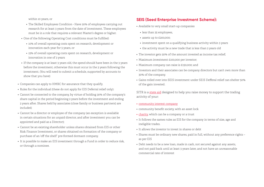within 10 years, or

- The Skilled Employees Condition Have 20% of employees carrying out research for at least 3 years from the date of investment. These employees must be in a role that requires a relevant Master's degree or higher.
- One of the following Operating Cost conditions must be fulfilled:
	- 10% of overall operating costs spent on research, development or innovation each year for 3 years, or
	- 15% of overall operating costs spent on research, development or innovation in one of 3 years
- If the company is at least 3 years old, the spend should have been in the 3 years before the investment, otherwise this must occur in the 3 years following the investment. (You will need to submit a schedule, supported by accounts to show that you have)
- Companies can apply to HMRC for assurance that they qualify.
- Rules for the individual (these do not apply for EIS Deferral relief only):
- Cannot be connected to the company, by virtue of holding 30% of the company's share capital in the period beginning 2 years before the investment and ending 3 years after. Shares held by associates (close family or business partners) are included;
- Cannot be a director or employee of the company (an exception is available in certain situations for an unpaid director, and after investment you can be appointed and paid as a Director);
- Cannot be an existing shareholder unless shares obtained from EIS or other Risk Finance Investment, or shares obtained on formation of the company or purchase of an 'off the shelf' pre-formed dormant company.
- It is possible to make an EIS investment through a Fund in order to reduce risk, or through a nominee.

# **SEIS (Seed Enterprise Investment Scheme):**

- Available to very small start-up companies
	- less than 25 employees,
	- assets up to £200,000;
	- investment spent on a qualifying business activity within 3 years
	- the activity must be a new trade that is less than 2 years old
- The investor gets 50% of the amount invested as income tax relief;
- Maximum investment £100,000 per investor;
- Maximum company can raise is £150,000; and
- Investors and their associates can be company directors but can't own more than 30% of the company.
- Gains rolled over into SEIS investment under SEIS Defferal relief can shelter 50% of the gain invested.

SITR is a [state aid](https://www.gov.uk/guidance/state-aid#what-is-state-aid) designed to help you raise money to support the trading activity of your:

- [community interest company](https://www.gov.uk/government/publications/community-interest-companies-business-activities)
- community benefit society, with an asset lock
- [charity](https://www.gov.uk/charities-and-tax), which can be a company or a trust
- It follows the sames rules as EIS for the company in terms of size, age and ineligible trades.
- It allows the investor to invest in shares or debt
- Shares must be ordinary new shares, paid in full, without any preference rights as per EIS
- Debt needs to be a new loan, made in cash, not secured against any assets, and not paid back until at least 3 years later, and not have an unreasonable commercial rate of interest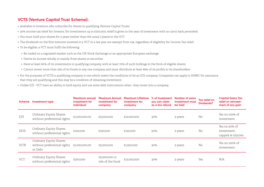# **VCTS (Venture Capital Trust Scheme):**

- Available to investors who subscribe for shares in qualifying Venture Capital Trusts
- 30% income tax relief for investor, for investments up to £200,000, relief is given in the year of investment with no carry back permitted.
- You must hold your shares for 5 years (rather than the usual 3 years) in the VCT
- The dividends on the first £200,000 invested in a VCT in a tax year are exempt from tax, regardless of eligibility for Income Tax relief.
- To be eligible, a VCT must fulfil the following:
	- Be traded on a regulated market such as the UK Stock Exchange or an appropriate European exchange.
	- Derive its income wholly or mainly from shares or securities
	- Have at least 80% of its investments in qualifying company with at least 70% of such holdings in the form of eligible shares
	- Cannot invest more than 15% of its funds in any one company and must distribute at least 85% of its profits to its shareholders
- For the purposes of VCTS a qualifying company is one which meets the conditions to be an EIS company. Companies can apply to HMRC for assurance that they are qualifying and this may be a condition of obtaining investment.
- Unlike EIS VCT have an ability to hold equity and use some debt instruments when they invest into a company.

| <b>Scheme</b> | <b>Investment type</b>                                           | Maximum annual<br>investment for<br>individual | <b>Maximum Annual</b><br>investment for<br>company | <b>Maximum Liftetime</b><br>investment for<br>company | % of investment<br>you can claim<br>as a tax refund | <b>Number of years</b><br>investment must<br>be held | Tax relief on<br><b>Dividends?</b> | <b>Capital Gains Tax</b><br>relief on reinvest-<br>ment of any gain |
|---------------|------------------------------------------------------------------|------------------------------------------------|----------------------------------------------------|-------------------------------------------------------|-----------------------------------------------------|------------------------------------------------------|------------------------------------|---------------------------------------------------------------------|
| EIS           | Ordinary Equity Shares<br>without preferential rights            | £1,000,000.00                                  | £5,000,000                                         | £12,000,000                                           | 30%                                                 | 3 years                                              | No                                 | Yes on 100% of<br>investment                                        |
| SEIS          | Ordinary Equity Shares<br>without preferential rights            | £100,000                                       | £150,000                                           | £150,000                                              | 50%                                                 | 3 years                                              | No                                 | Yes on 50% of<br>investment.<br>capped at £50,000                   |
| SITR          | Ordinary Equity Shares<br>without preferential rights<br>or Debt | £1,000,000.00                                  | £5,000,000                                         | £1,500,000                                            | 30%                                                 | 3 years                                              | No                                 | Yes on 100% of<br>investment                                        |
| <b>VCT</b>    | Ordinary Equity Shares<br>without preferential rights            | £200,000                                       | £5,000,000 or<br>15% of the fund                   | £12,000,000                                           | 30%                                                 | 5 years                                              | Yes                                | N/A                                                                 |